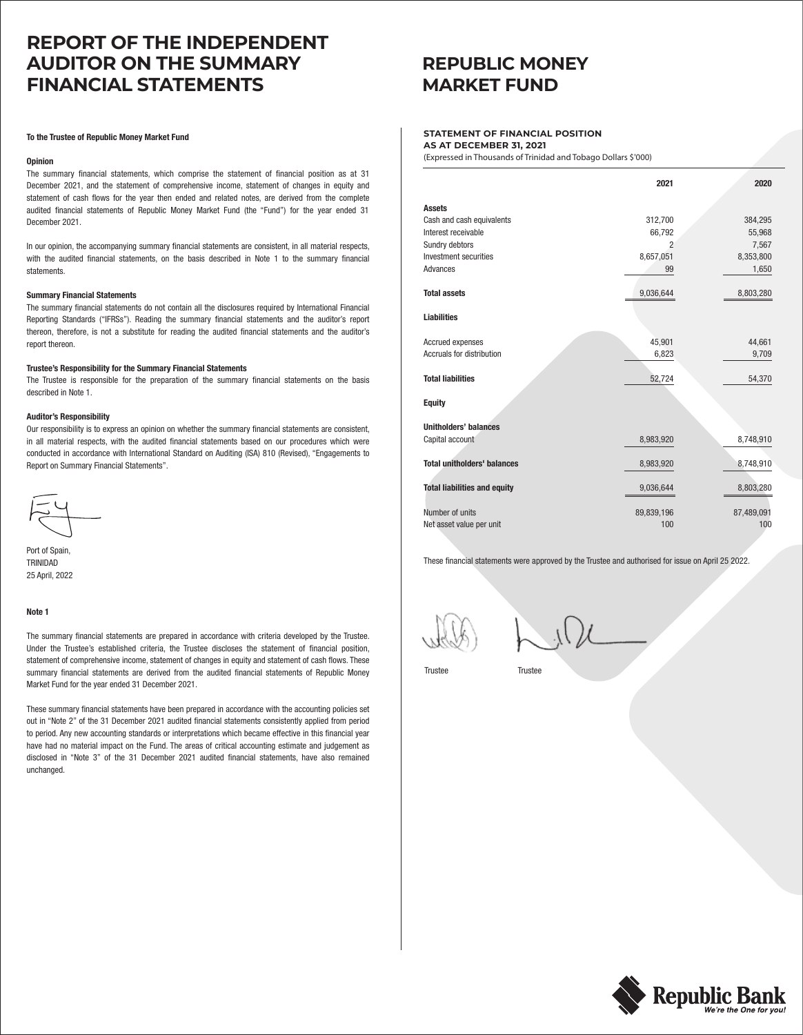# **REPORT OF THE INDEPENDENT AUDITOR ON THE SUMMARY FINANCIAL STATEMENTS**

### **To the Trustee of Republic Money Market Fund**

### **Opinion**

The summary financial statements, which comprise the statement of financial position as at 31 December 2021, and the statement of comprehensive income, statement of changes in equity and statement of cash flows for the year then ended and related notes, are derived from the complete audited financial statements of Republic Money Market Fund (the "Fund") for the year ended 31 December 2021.

In our opinion, the accompanying summary financial statements are consistent, in all material respects, with the audited financial statements, on the basis described in Note 1 to the summary financial statements.

### **Summary Financial Statements**

The summary financial statements do not contain all the disclosures required by International Financial Reporting Standards ("IFRSs"). Reading the summary financial statements and the auditor's report thereon, therefore, is not a substitute for reading the audited financial statements and the auditor's report thereon.

### **Trustee's Responsibility for the Summary Financial Statements**

The Trustee is responsible for the preparation of the summary financial statements on the basis described in Note 1.

### **Auditor's Responsibility**

Our responsibility is to express an opinion on whether the summary financial statements are consistent, in all material respects, with the audited financial statements based on our procedures which were conducted in accordance with International Standard on Auditing (ISA) 810 (Revised), "Engagements to Report on Summary Financial Statements".

Port of Spain TRINIDAD 25 April, 2022

### **Note 1**

The summary financial statements are prepared in accordance with criteria developed by the Trustee. Under the Trustee's established criteria, the Trustee discloses the statement of financial position, statement of comprehensive income, statement of changes in equity and statement of cash flows. These summary financial statements are derived from the audited financial statements of Republic Money Market Fund for the year ended 31 December 2021.

These summary financial statements have been prepared in accordance with the accounting policies set out in "Note 2" of the 31 December 2021 audited financial statements consistently applied from period to period. Any new accounting standards or interpretations which became effective in this financial year have had no material impact on the Fund. The areas of critical accounting estimate and judgement as disclosed in "Note 3" of the 31 December 2021 audited financial statements, have also remained unchanged.

## **REPUBLIC MONEY MARKET FUND**

### **STATEMENT OF FINANCIAL POSITION AS AT DECEMBER 31, 2021**

(Expressed in Thousands of Trinidad and Tobago Dollars \$'000)

|                                     | 2021       | 2020       |
|-------------------------------------|------------|------------|
| <b>Assets</b>                       |            |            |
| Cash and cash equivalents           | 312,700    | 384,295    |
| Interest receivable                 | 66,792     | 55,968     |
| Sundry debtors                      | 2          | 7,567      |
| Investment securities               | 8,657,051  | 8,353,800  |
| Advances                            | 99         | 1,650      |
|                                     |            |            |
| <b>Total assets</b>                 | 9,036,644  | 8,803,280  |
|                                     |            |            |
| <b>Liabilities</b>                  |            |            |
| Accrued expenses                    | 45,901     | 44,661     |
| <b>Accruals for distribution</b>    | 6,823      | 9,709      |
|                                     |            |            |
| <b>Total liabilities</b>            | 52,724     | 54,370     |
|                                     |            |            |
| <b>Equity</b>                       |            |            |
| <b>Unitholders' balances</b>        |            |            |
| Capital account                     | 8,983,920  | 8,748,910  |
|                                     |            |            |
| <b>Total unitholders' balances</b>  | 8,983,920  | 8,748,910  |
|                                     |            |            |
| <b>Total liabilities and equity</b> | 9,036,644  | 8,803,280  |
|                                     |            |            |
| Number of units                     | 89,839,196 | 87,489,091 |
| Net asset value per unit            | 100        | 100        |

These financial statements were approved by the Trustee and authorised for issue on April 25 2022.

Trustee Trustee